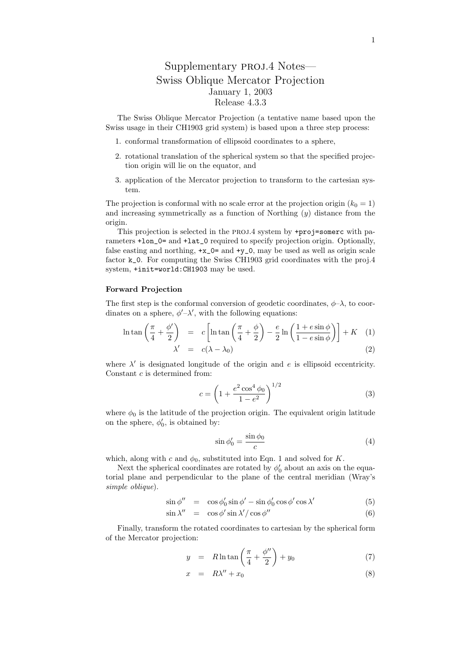## Supplementary proj.4 Notes— Swiss Oblique Mercator Projection January 1, 2003 Release 4.3.3

The Swiss Oblique Mercator Projection (a tentative name based upon the Swiss usage in their CH1903 grid system) is based upon a three step process:

- 1. conformal transformation of ellipsoid coordinates to a sphere,
- 2. rotational translation of the spherical system so that the specified projection origin will lie on the equator, and
- 3. application of the Mercator projection to transform to the cartesian system.

The projection is conformal with no scale error at the projection origin  $(k_0 = 1)$ and increasing symmetrically as a function of Northing  $(y)$  distance from the origin.

This projection is selected in the PROJ.4 system by +proj=somerc with parameters +lon\_0= and +lat\_0 required to specify projection origin. Optionally, false easting and northing,  $+x_0$ = and  $+y_0$ , may be used as well as origin scale factor k\_0. For computing the Swiss CH1903 grid coordinates with the proj.4 system, +init=world:CH1903 may be used.

## Forward Projection

The first step is the conformal conversion of geodetic coordinates,  $\phi-\lambda$ , to coordinates on a sphere,  $\phi'$ - $\lambda'$ , with the following equations:

$$
\ln \tan \left( \frac{\pi}{4} + \frac{\phi'}{2} \right) = c \left[ \ln \tan \left( \frac{\pi}{4} + \frac{\phi}{2} \right) - \frac{e}{2} \ln \left( \frac{1 + e \sin \phi}{1 - e \sin \phi} \right) \right] + K \quad (1)
$$
  

$$
\lambda' = c(\lambda - \lambda_0)
$$
 (2)

where  $\lambda'$  is designated longitude of the origin and e is ellipsoid eccentricity. Constant c is determined from:

$$
c = \left(1 + \frac{e^2 \cos^4 \phi_0}{1 - e^2}\right)^{1/2} \tag{3}
$$

where  $\phi_0$  is the latitude of the projection origin. The equivalent origin latitude on the sphere,  $\phi'_0$ , is obtained by:

$$
\sin \phi_0' = \frac{\sin \phi_0}{c} \tag{4}
$$

which, along with c and  $\phi_0$ , substituted into Eqn. 1 and solved for K.

Next the spherical coordinates are rotated by  $\phi'_0$  about an axis on the equatorial plane and perpendicular to the plane of the central meridian (Wray's simple oblique).

$$
\sin \phi'' = \cos \phi'_0 \sin \phi' - \sin \phi'_0 \cos \phi' \cos \lambda'
$$
 (5)

$$
\sin \lambda'' = \cos \phi' \sin \lambda'/ \cos \phi'' \tag{6}
$$

Finally, transform the rotated coordinates to cartesian by the spherical form of the Mercator projection:

$$
y = R \ln \tan \left( \frac{\pi}{4} + \frac{\phi''}{2} \right) + y_0 \tag{7}
$$

$$
x = R\lambda'' + x_0 \tag{8}
$$